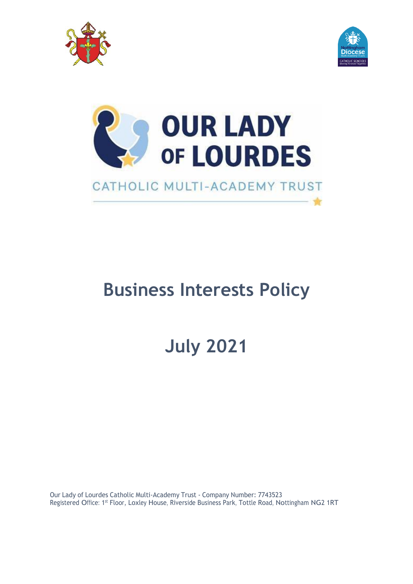





# **Business Interests Policy**

**July 2021**

Our Lady of Lourdes Catholic Multi-Academy Trust - Company Number: 7743523 Registered Office: 1st Floor, Loxley House, Riverside Business Park, Tottle Road, Nottingham NG2 1RT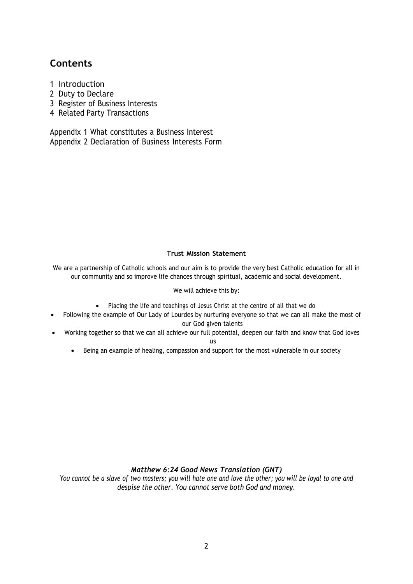# **Contents**

- 1 Introduction
- 2 Duty to Declare
- 3 Register of Business Interests
- 4 Related Party Transactions

Appendix 1 What constitutes a Business Interest Appendix 2 Declaration of Business Interests Form

#### **Trust Mission Statement**

We are a partnership of Catholic schools and our aim is to provide the very best Catholic education for all in our community and so improve life chances through spiritual, academic and social development.

#### We will achieve this by:

- Placing the life and teachings of Jesus Christ at the centre of all that we do
- Following the example of Our Lady of Lourdes by nurturing everyone so that we can all make the most of our God given talents
- Working together so that we can all achieve our full potential, deepen our faith and know that God loves
	- us
	- Being an example of healing, compassion and support for the most vulnerable in our society

### *Matthew 6:24 Good News Translation (GNT)*

You cannot be a slave of two masters; you will hate one and love the other; you will be loyal to one and *despise the other. You cannot serve both God and money.*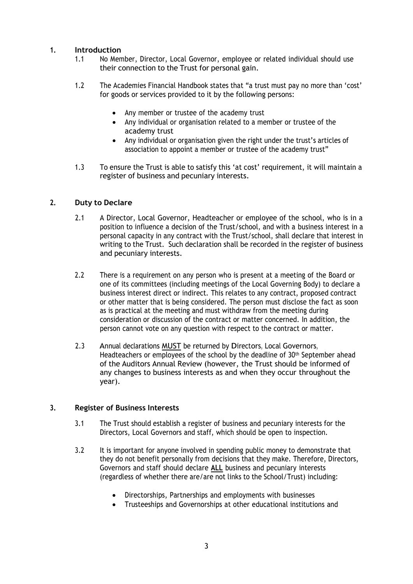## **1. Introduction**

- 1.1 No Member, Director, Local Governor, employee or related individual should use their connection to the Trust for personal gain.
- 1.2 The Academies Financial Handbook states that "a trust must pay no more than 'cost' for goods or services provided to it by the following persons:
	- Any member or trustee of the academy trust
	- Any individual or organisation related to a member or trustee of the academy trust
	- Any individual or organisation given the right under the trust's articles of association to appoint a member or trustee of the academy trust"
- 1.3 To ensure the Trust is able to satisfy this 'at cost' requirement, it will maintain a register of business and pecuniary interests.

#### **2. Duty to Declare**

- 2.1 A Director, Local Governor, Headteacher or employee of the school, who is in a position to influence a decision of the Trust/school, and with a business interest in a personal capacity in any contract with the Trust/school, shall declare that interest in writing to the Trust. Such declaration shall be recorded in the register of business and pecuniary interests.
- 2.2 There is a requirement on any person who is present at a meeting of the Board or one of its committees (including meetings of the Local Governing Body) to declare a business interest direct or indirect. This relates to any contract, proposed contract or other matter that is being considered. The person must disclose the fact as soon as is practical at the meeting and must withdraw from the meeting during consideration or discussion of the contract or matter concerned. In addition, the person cannot vote on any question with respect to the contract or matter.
- 2.3 Annual declarations MUST be returned by Directors, Local Governors, Headteachers or employees of the school by the deadline of 30<sup>th</sup> September ahead of the Auditors Annual Review (however, the Trust should be informed of any changes to business interests as and when they occur throughout the year).

#### **3. Register of Business Interests**

- 3.1 The Trust should establish a register of business and pecuniary interests for the Directors, Local Governors and staff, which should be open to inspection.
- 3.2 It is important for anyone involved in spending public money to demonstrate that they do not benefit personally from decisions that they make. Therefore, Directors, Governors and staff should declare **ALL** business and pecuniary interests (regardless of whether there are/are not links to the School/Trust) including:
	- Directorships, Partnerships and employments with businesses
	- Trusteeships and Governorships at other educational institutions and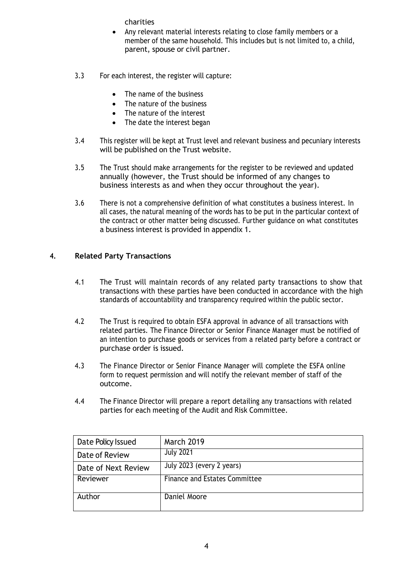charities

- Any relevant material interests relating to close family members or a member of the same household. This includes but is not limited to, a child, parent, spouse or civil partner.
- 3.3 For each interest, the register will capture:
	- The name of the business
	- The nature of the business
	- The nature of the interest
	- The date the interest began
- 3.4 This register will be kept at Trust level and relevant business and pecuniary interests will be published on the Trust website.
- 3.5 The Trust should make arrangements for the register to be reviewed and updated annually (however, the Trust should be informed of any changes to business interests as and when they occur throughout the year).
- 3.6 There is not a comprehensive definition of what constitutes a business interest. In all cases, the natural meaning of the words has to be put in the particular context of the contract or other matter being discussed. Further guidance on what constitutes a business interest is provided in appendix 1.

#### **4. Related Party Transactions**

- 4.1 The Trust will maintain records of any related party transactions to show that transactions with these parties have been conducted in accordance with the high standards of accountability and transparency required within the public sector.
- 4.2 The Trust is required to obtain ESFA approval in advance of all transactions with related parties. The Finance Director or Senior Finance Manager must be notified of an intention to purchase goods or services from a related party before a contract or purchase order is issued.
- 4.3 The Finance Director or Senior Finance Manager will complete the ESFA online form to request permission and will notify the relevant member of staff of the outcome.
- 4.4 The Finance Director will prepare a report detailing any transactions with related parties for each meeting of the Audit and Risk Committee.

| Date Policy Issued  | <b>March 2019</b>                    |
|---------------------|--------------------------------------|
| Date of Review      | <b>July 2021</b>                     |
| Date of Next Review | July 2023 (every 2 years)            |
| Reviewer            | <b>Finance and Estates Committee</b> |
| Author              | Daniel Moore                         |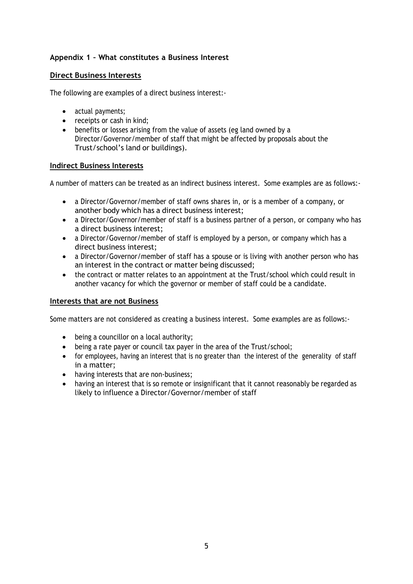# **Appendix 1 – What constitutes a Business Interest**

# **Direct Business Interests**

The following are examples of a direct business interest:-

- actual payments;
- receipts or cash in kind;
- benefits or losses arising from the value of assets (eg land owned by a Director/Governor/member of staff that might be affected by proposals about the Trust/school's land or buildings).

#### **Indirect Business Interests**

A number of matters can be treated as an indirect business interest. Some examples are as follows:-

- a Director/Governor/member of staff owns shares in, or is a member of a company, or another body which has a direct business interest;
- a Director/Governor/member of staff is a business partner of a person, or company who has a direct business interest;
- a Director/Governor/member of staff is employed by a person, or company which has a direct business interest;
- a Director/Governor/member of staff has a spouse or is living with another person who has an interest in the contract or matter being discussed;
- the contract or matter relates to an appointment at the Trust/school which could result in another vacancy for which the governor or member of staff could be a candidate.

#### **Interests that are not Business**

Some matters are not considered as creating a business interest. Some examples are as follows:-

- being a councillor on a local authority;
- being a rate payer or council tax payer in the area of the Trust/school;
- for employees, having an interest that is no greater than the interest of the generality of staff in a matter;
- having interests that are non-business;
- having an interest that is so remote or insignificant that it cannot reasonably be regarded as likely to influence a Director/Governor/member of staff